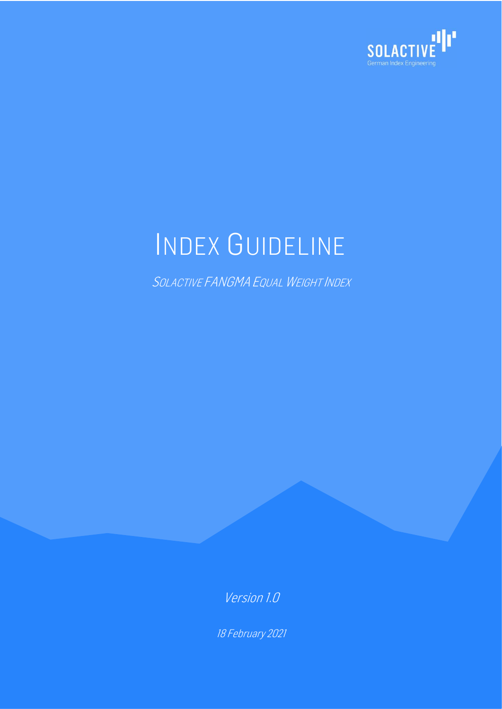

# INDEX GUIDELINE

SOLACTIVE FANGMA EQUAL WEIGHT INDEX

Version 1.0

18 February 2021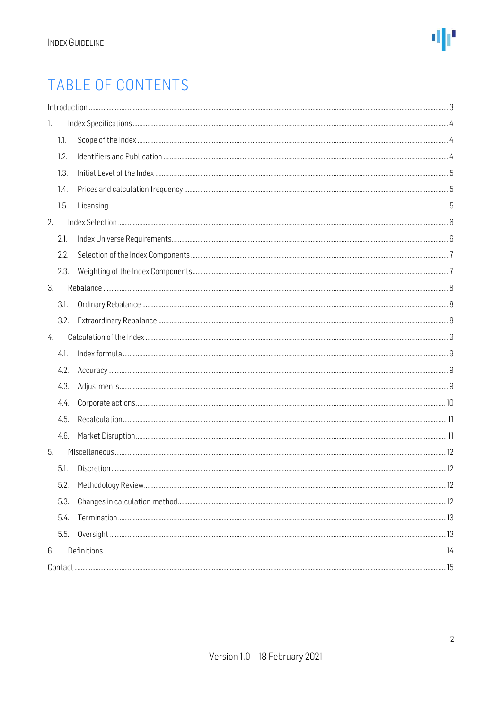### TABLE OF CONTENTS

|      | Introduction 33 |  |
|------|-----------------|--|
| 1.   |                 |  |
| 1.1. |                 |  |
| 1.2. |                 |  |
| 1.3. |                 |  |
| 1.4. |                 |  |
| 1.5. |                 |  |
| 2.   |                 |  |
| 2.1. |                 |  |
| 2.2. |                 |  |
| 2.3. |                 |  |
| 3.   |                 |  |
| 3.1. |                 |  |
| 3.2. |                 |  |
| 4.   |                 |  |
| 4.1. |                 |  |
| 4.2. |                 |  |
| 4.3. |                 |  |
| 4.4. |                 |  |
| 4.5. |                 |  |
| 4.6. |                 |  |
| 5.   |                 |  |
| 5.1. |                 |  |
| 5.2. |                 |  |
| 5.3. |                 |  |
| 5.4. |                 |  |
| 5.5. |                 |  |
| 6.   |                 |  |
|      |                 |  |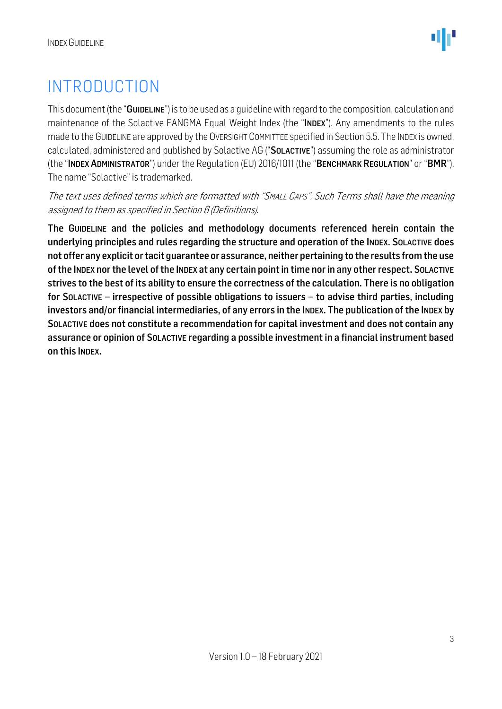### <span id="page-2-0"></span>INTRODUCTION

This document (the "GUIDELINE") is to be used as a quideline with regard to the composition, calculation and maintenance of the Solactive FANGMA Equal Weight Index (the "INDEX"). Any amendments to the rules made to the GUIDELINE are approved by the OVERSIGHT COMMITTEE specified in Section 5.5. The INDEX is owned, calculated, administered and published by Solactive AG ("SOLACTIVE") assuming the role as administrator (the "INDEX ADMINISTRATOR") under the Regulation (EU) 2016/1011 (the "BENCHMARK REGULATION" or "BMR"). The name "Solactive" is trademarked.

The text uses defined terms which are formatted with "SMALL CAPS". Such Terms shall have the meaning assigned to them as specified in Section 6 (Definitions).

The GUIDELINE and the policies and methodology documents referenced herein contain the underlying principles and rules regarding the structure and operation of the INDEX. SOLACTIVE does not offer any explicit or tacit guarantee or assurance, neither pertaining to the results from the use of the INDEX nor the level of the INDEX at any certain point in time nor in any other respect. SOLACTIVE strives to the best of its ability to ensure the correctness of the calculation. There is no obligation for SOLACTIVE – irrespective of possible obligations to issuers – to advise third parties, including investors and/or financial intermediaries, of any errors in the INDEX. The publication of the INDEX by SOLACTIVE does not constitute a recommendation for capital investment and does not contain any assurance or opinion of SOLACTIVE regarding a possible investment in a financial instrument based on this INDEX.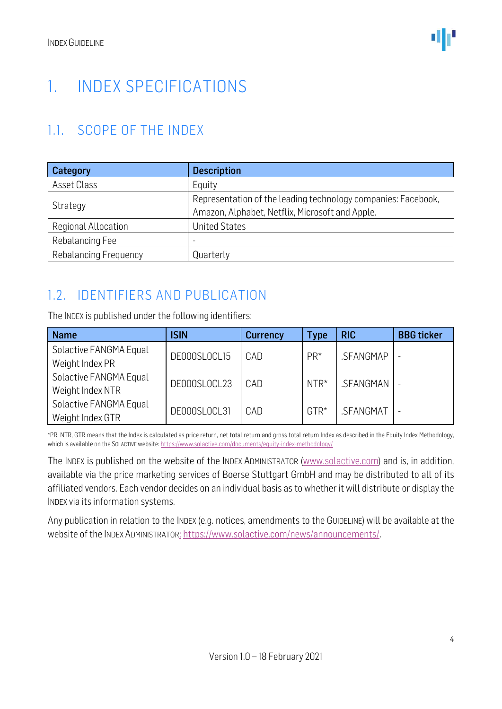### <span id="page-3-0"></span>1. INDEX SPECIFICATIONS

### <span id="page-3-1"></span>1.1. SCOPE OF THE INDEX

| Category                     | <b>Description</b>                                                                                               |  |  |  |
|------------------------------|------------------------------------------------------------------------------------------------------------------|--|--|--|
| Asset Class                  | Equity                                                                                                           |  |  |  |
| Strategy                     | Representation of the leading technology companies: Facebook,<br>Amazon, Alphabet, Netflix, Microsoft and Apple. |  |  |  |
| Regional Allocation          | <b>United States</b>                                                                                             |  |  |  |
| Rebalancing Fee              | $\overline{\phantom{0}}$                                                                                         |  |  |  |
| <b>Rebalancing Frequency</b> | Quarterly                                                                                                        |  |  |  |

### <span id="page-3-2"></span>1.2. IDENTIFIERS AND PUBLICATION

The INDEX is published under the following identifiers:

| <b>Name</b>                                | <b>ISIN</b>  | <b>Currency</b> | Type   | <b>RIC</b> | <b>BBG</b> ticker |
|--------------------------------------------|--------------|-----------------|--------|------------|-------------------|
| Solactive FANGMA Equal<br>Weight Index PR  | DE000SL0CL15 | CAD             | $PR*$  | .SFANGMAP  |                   |
| Solactive FANGMA Equal<br>Weight Index NTR | DE000SL0CL23 | CAD             | $NTR*$ | .SFANGMAN  |                   |
| Solactive FANGMA Equal<br>Weight Index GTR | DE000SL0CL31 | CAD             | $GTR*$ | .SFANGMAT  |                   |

\*PR, NTR, GTR means that the Index is calculated as price return, net total return and gross total return Index as described in the Equity Index Methodology, which is available on the SOLACTIVE website[: https://www.solactive.com/documents/equity-index-methodology/](https://www.solactive.com/documents/equity-index-methodology/)

The INDEX is published on the website of the INDEX ADMINISTRATOR [\(www.solactive.com\)](http://www.solactive.com/) and is, in addition, available via the price marketing services of Boerse Stuttgart GmbH and may be distributed to all of its affiliated vendors. Each vendor decides on an individual basis as to whether it will distribute or display the INDEX via its information systems.

Any publication in relation to the INDEX (e.g. notices, amendments to the GUIDELINE) will be available at the website of the INDEX ADMINISTRATOR: [https://www.solactive.com/news/announcements/.](https://www.solactive.com/news/announcements/)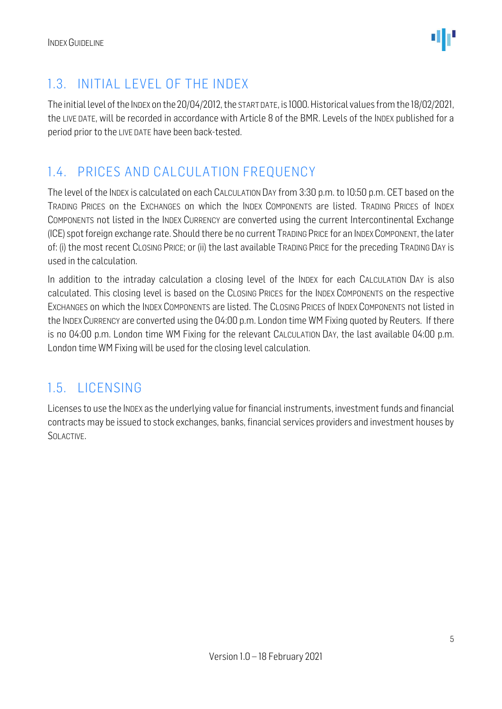

### <span id="page-4-0"></span>1.3. INITIAL LEVEL OF THE INDEX

The initial level of the INDEX on the 20/04/2012, the START DATE, is 1000.Historical values from the 18/02/2021, the LIVE DATE, will be recorded in accordance with Article 8 of the BMR. Levels of the INDEX published for a period prior to the LIVE DATE have been back-tested.

### <span id="page-4-1"></span>1.4. PRICES AND CALCULATION FREQUENCY

The level of the INDEX is calculated on each CALCULATION DAY from 3:30 p.m. to 10:50 p.m. CET based on the TRADING PRICES on the EXCHANGES on which the INDEX COMPONENTS are listed. TRADING PRICES of INDEX COMPONENTS not listed in the INDEX CURRENCY are converted using the current Intercontinental Exchange (ICE) spot foreign exchange rate. Should there be no current TRADING PRICE for an INDEXCOMPONENT, the later of: (i) the most recent CLOSING PRICE; or (ii) the last available TRADING PRICE for the preceding TRADING DAY is used in the calculation.

In addition to the intraday calculation a closing level of the INDEX for each CALCULATION DAY is also calculated. This closing level is based on the CLOSING PRICES for the INDEX COMPONENTS on the respective EXCHANGES on which the INDEX COMPONENTS are listed. The CLOSING PRICES of INDEX COMPONENTS not listed in the INDEX CURRENCY are converted using the 04:00 p.m. London time WM Fixing quoted by Reuters. If there is no 04:00 p.m. London time WM Fixing for the relevant CALCULATION DAY, the last available 04:00 p.m. London time WM Fixing will be used for the closing level calculation.

### <span id="page-4-2"></span>1.5. LICENSING

Licenses to use the INDEX as the underlying value for financial instruments, investment funds and financial contracts may be issued to stock exchanges, banks, financial services providers and investment houses by SOLACTIVE.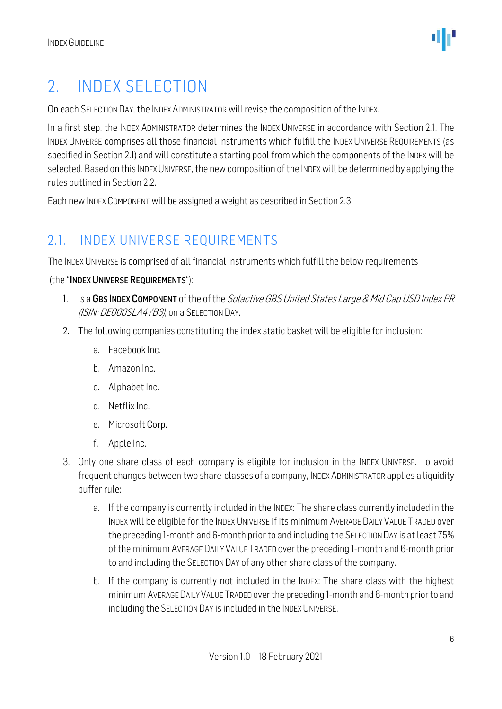### <span id="page-5-0"></span>2. INDEX SELECTION

On each SELECTION DAY, the INDEX ADMINISTRATOR will revise the composition of the INDEX.

In a first step, the INDEX ADMINISTRATOR determines the INDEX UNIVERSE in accordance with Section 2.1. The INDEX UNIVERSE comprises all those financial instruments which fulfill the INDEX UNIVERSE REQUIREMENTS (as specified in Section 2.1) and will constitute a starting pool from which the components of the INDEX will be selected. Based on this INDEX UNIVERSE, the new composition of the INDEX will be determined by applying the rules outlined in Section 2.2.

Each new INDEX COMPONENT will be assigned a weight as described in Section 2.3.

### <span id="page-5-1"></span>2.1. INDEX UNIVERSE REQUIREMENTS

The INDEX UNIVERSE is comprised of all financial instruments which fulfill the below requirements

#### (the "INDEX UNIVERSE REQUIREMENTS"):

- 1. Is a GBS INDEX COMPONENT of the of the Solactive GBS United States Large & Mid Cap USD Index PR (ISIN: DE000SLA4YB3), on a SELECTION DAY.
- 2. The following companies constituting the index static basket will be eligible for inclusion:
	- a. Facebook Inc.
	- b. Amazon Inc.
	- c. Alphabet Inc.
	- d. Netflix Inc.
	- e. Microsoft Corp.
	- f. Apple Inc.
- 3. Only one share class of each company is eligible for inclusion in the INDEX UNIVERSE. To avoid frequent changes between two share-classes of a company, INDEX ADMINISTRATOR applies a liquidity buffer rule:
	- a. If the company is currently included in the INDEX: The share class currently included in the INDEX will be eligible for the INDEX UNIVERSE if its minimum AVERAGE DAILY VALUE TRADED over the preceding 1-month and 6-month prior to and including the SELECTION DAY is at least 75% of the minimum AVERAGE DAILY VALUE TRADED over the preceding 1-month and 6-month prior to and including the SELECTION DAY of any other share class of the company.
	- b. If the company is currently not included in the INDEX: The share class with the highest minimumAVERAGE DAILY VALUE TRADED over the preceding 1-month and 6-month prior to and including the SELECTION DAY is included in the INDEX UNIVERSE.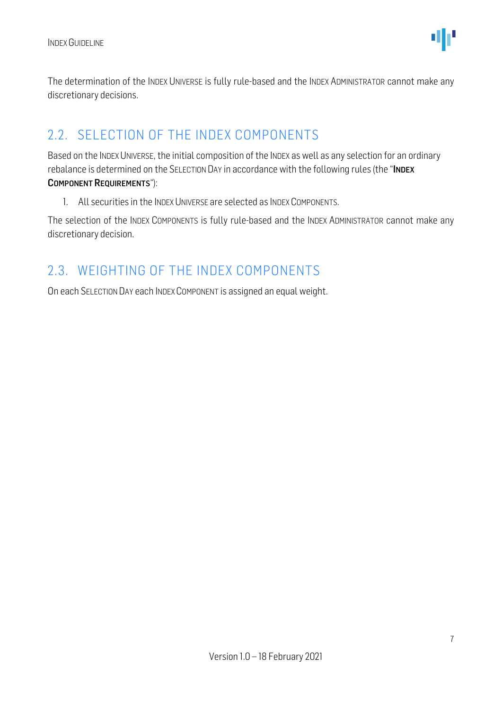

The determination of the INDEX UNIVERSE is fully rule-based and the INDEX ADMINISTRATOR cannot make any discretionary decisions.

#### <span id="page-6-0"></span>2.2. SELECTION OF THE INDEX COMPONENTS

Based on the INDEX UNIVERSE, the initial composition of the INDEX as well as any selection for an ordinary rebalance is determined on the SELECTION DAY in accordance with the following rules (the "INDEX COMPONENT REQUIREMENTS"):

1. All securities in the INDEX UNIVERSE are selected as INDEX COMPONENTS.

The selection of the INDEX COMPONENTS is fully rule-based and the INDEX ADMINISTRATOR cannot make any discretionary decision.

#### <span id="page-6-1"></span>2.3. WEIGHTING OF THE INDEX COMPONENTS

On each SELECTION DAY each INDEX COMPONENT is assigned an equal weight.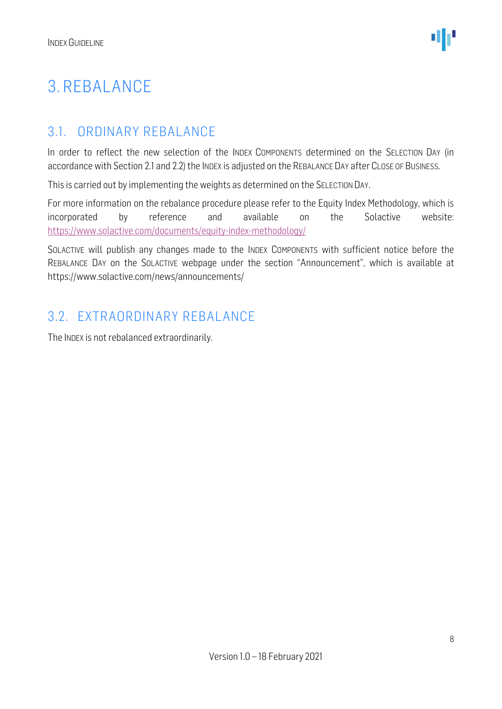### <span id="page-7-0"></span>3. REBALANCE

### <span id="page-7-1"></span>3.1. ORDINARY REBALANCE

In order to reflect the new selection of the INDEX COMPONENTS determined on the SELECTION DAY (in accordance with Section 2.1 and 2.2) the INDEX is adjusted on the REBALANCE DAY after CLOSE OF BUSINESS.

This is carried out by implementing the weights as determined on the SELECTION DAY.

For more information on the rebalance procedure please refer to the Equity Index Methodology, which is incorporated by reference and available on the Solactive website: <https://www.solactive.com/documents/equity-index-methodology/>

SOLACTIVE will publish any changes made to the INDEX COMPONENTS with sufficient notice before the REBALANCE DAY on the SOLACTIVE webpage under the section "Announcement", which is available at https://www.solactive.com/news/announcements/

#### <span id="page-7-2"></span>3.2. EXTRAORDINARY REBALANCE

The INDEX is not rebalanced extraordinarily.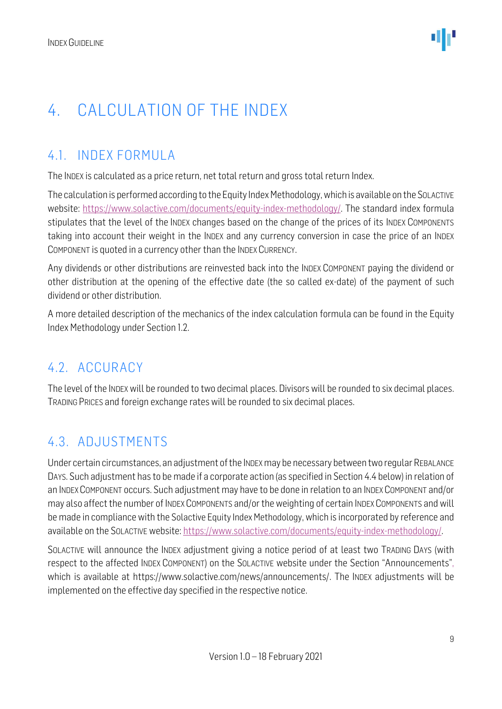### <span id="page-8-0"></span>4. CALCULATION OF THE INDEX

### <span id="page-8-1"></span>4.1. INDEX FORMULA

The INDEX is calculated as a price return, net total return and gross total return Index.

The calculation is performed according to the Equity Index Methodology, which is available on the SOLACTIVE website: [https://www.solactive.com/documents/equity-index-methodology/.](https://www.solactive.com/documents/equity-index-methodology/) The standard index formula stipulates that the level of the INDEX changes based on the change of the prices of its INDEX COMPONENTS taking into account their weight in the INDEX and any currency conversion in case the price of an INDEX COMPONENT is quoted in a currency other than the INDEX CURRENCY.

Any dividends or other distributions are reinvested back into the INDEX COMPONENT paying the dividend or other distribution at the opening of the effective date (the so called ex-date) of the payment of such dividend or other distribution.

A more detailed description of the mechanics of the index calculation formula can be found in the Equity Index Methodology under Section 1.2.

### <span id="page-8-2"></span>4.2. ACCURACY

The level of the INDEX will be rounded to two decimal places. Divisors will be rounded to six decimal places. TRADING PRICES and foreign exchange rates will be rounded to six decimal places.

### <span id="page-8-3"></span>4.3. ADJUSTMENTS

Under certain circumstances, an adjustment of the INDEXmay be necessary between two regular REBALANCE DAYS. Such adjustment has to be made if a corporate action (as specified in Section 4.4 below) in relation of an INDEX COMPONENT occurs. Such adjustment may have to be done in relation to an INDEX COMPONENT and/or may also affect the number of INDEX COMPONENTS and/or the weighting of certain INDEX COMPONENTS and will be made in compliance with the Solactive Equity Index Methodology, which is incorporated by reference and available on the SOLACTIVE website: [https://www.solactive.com/documents/equity-index-methodology/.](https://www.solactive.com/documents/equity-index-methodology/)

SOLACTIVE will announce the INDEX adjustment giving a notice period of at least two TRADING DAYS (with respect to the affected INDEX COMPONENT) on the SOLACTIVE website under the Section "Announcements", which is available at https://www.solactive.com/news/announcements/. The INDEX adjustments will be implemented on the effective day specified in the respective notice.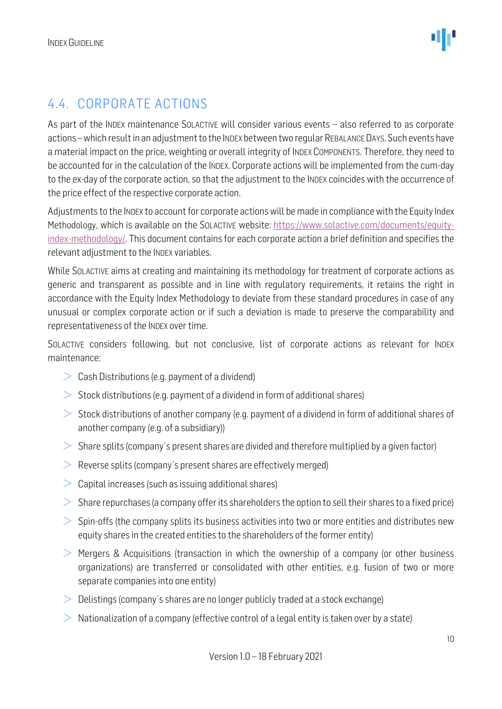### <span id="page-9-0"></span>4.4. CORPORATE ACTIONS

As part of the INDEX maintenance SOLACTIVE will consider various events – also referred to as corporate actions –which result in an adjustment to the INDEX between two regular REBALANCE DAYS. Such events have a material impact on the price, weighting or overall integrity of INDEX COMPONENTS. Therefore, they need to be accounted for in the calculation of the INDEX. Corporate actions will be implemented from the cum-day to the ex-day of the corporate action, so that the adjustment to the INDEX coincides with the occurrence of the price effect of the respective corporate action.

Adjustments to the INDEX to account for corporate actions will be made in compliance with the Equity Index Methodology, which is available on the SOLACTIVE website: [https://www.solactive.com/documents/equity](https://www.solactive.com/documents/equity-index-methodology/)[index-methodology/.](https://www.solactive.com/documents/equity-index-methodology/) This document contains for each corporate action a brief definition and specifies the relevant adjustment to the INDEX variables.

While SOLACTIVE aims at creating and maintaining its methodology for treatment of corporate actions as generic and transparent as possible and in line with regulatory requirements, it retains the right in accordance with the Equity Index Methodology to deviate from these standard procedures in case of any unusual or complex corporate action or if such a deviation is made to preserve the comparability and representativeness of the INDEX over time.

SOLACTIVE considers following, but not conclusive, list of corporate actions as relevant for INDEX maintenance:

- $\geq$  Cash Distributions (e.g. payment of a dividend)
- $>$  Stock distributions (e.g. payment of a dividend in form of additional shares)
- $>$  Stock distributions of another company (e.g. payment of a dividend in form of additional shares of another company (e.g. of a subsidiary))
- $>$  Share splits (company's present shares are divided and therefore multiplied by a given factor)
- $\geq$  Reverse splits (company's present shares are effectively merged)
- $>$  Capital increases (such as issuing additional shares)
- $>$  Share repurchases (a company offer its shareholders the option to sell their shares to a fixed price)
- $>$  Spin-offs (the company splits its business activities into two or more entities and distributes new equity shares in the created entities to the shareholders of the former entity)
- $>$  Mergers & Acquisitions (transaction in which the ownership of a company (or other business organizations) are transferred or consolidated with other entities, e.g. fusion of two or more separate companies into one entity)
- $\geq$  Delistings (company's shares are no longer publicly traded at a stock exchange)
- $\geq$  Nationalization of a company (effective control of a legal entity is taken over by a state)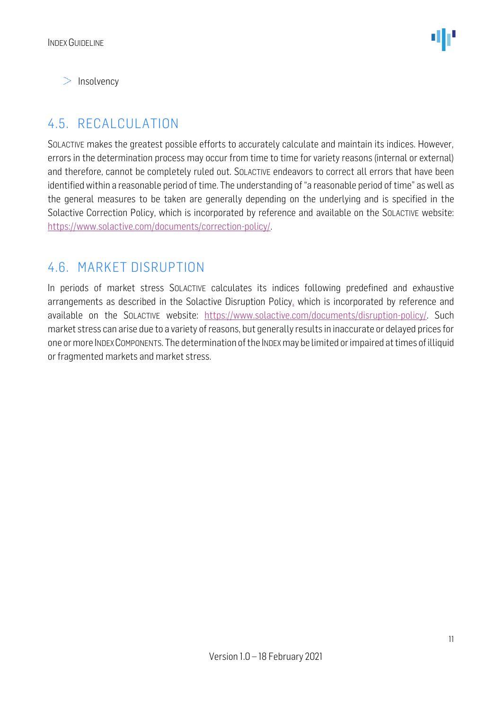$>$  Insolvency

### <span id="page-10-0"></span>4.5. RECALCULATION

SOLACTIVE makes the greatest possible efforts to accurately calculate and maintain its indices. However, errors in the determination process may occur from time to time for variety reasons (internal or external) and therefore, cannot be completely ruled out. SOLACTIVE endeavors to correct all errors that have been identified within a reasonable period of time. The understanding of "a reasonable period of time" as well as the general measures to be taken are generally depending on the underlying and is specified in the Solactive Correction Policy, which is incorporated by reference and available on the SOLACTIVE website: [https://www.solactive.com/documents/correction-policy/.](https://www.solactive.com/documents/correction-policy/)

#### <span id="page-10-1"></span>4.6. MARKET DISRUPTION

In periods of market stress SOLACTIVE calculates its indices following predefined and exhaustive arrangements as described in the Solactive Disruption Policy, which is incorporated by reference and available on the SOLACTIVE website: [https://www.solactive.com/documents/disruption-policy/.](https://www.solactive.com/documents/disruption-policy/) Such market stress can arise due to a variety of reasons, but generally results in inaccurate or delayed prices for one or more INDEXCOMPONENTS. The determination of the INDEXmay be limited or impaired at times of illiquid or fragmented markets and market stress.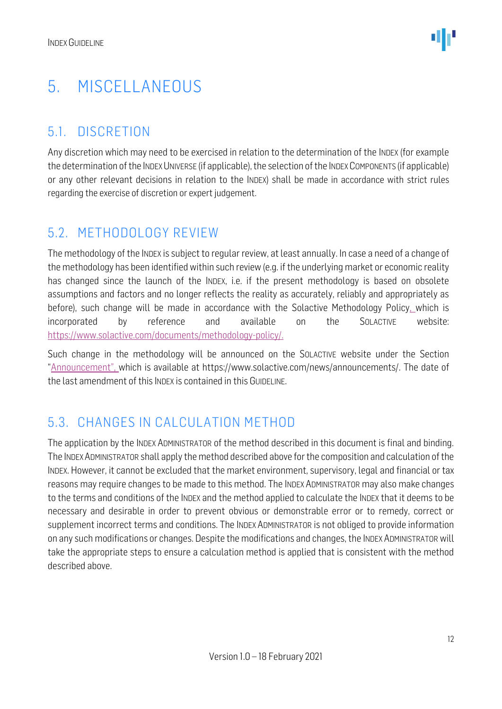### <span id="page-11-0"></span>5. MISCELLANEOUS

### <span id="page-11-1"></span>5.1. DISCRETION

Any discretion which may need to be exercised in relation to the determination of the INDEX (for example the determination of the INDEX UNIVERSE (if applicable), the selection of the INDEX COMPONENTS (if applicable) or any other relevant decisions in relation to the INDEX) shall be made in accordance with strict rules regarding the exercise of discretion or expert judgement.

#### <span id="page-11-2"></span>5.2. METHODOLOGY REVIEW

The methodology of the INDEX is subject to regular review, at least annually. In case a need of a change of the methodology has been identified within such review (e.g. if the underlying market or economic reality has changed since the launch of the INDEX, i.e. if the present methodology is based on obsolete assumptions and factors and no longer reflects the reality as accurately, reliably and appropriately as before), such change will be made in accordance with the Solactive Methodology Policy, which is incorporated by reference and available on the SOLACTIVE website: [https://www.solactive.com/documents/methodology-policy/.](https://www.solactive.com/documents/methodology-policy/)

Such change in the methodology will be announced on the SOLACTIVE website under the Section "Announcement", which is available at https://www.solactive.com/news/announcements/. The date of the last amendment of this INDEX is contained in this GUIDELINE.

### <span id="page-11-3"></span>5.3. CHANGES IN CALCULATION METHOD

The application by the INDEX ADMINISTRATOR of the method described in this document is final and binding. The INDEXADMINISTRATOR shall apply the method described above for the composition and calculation of the INDEX. However, it cannot be excluded that the market environment, supervisory, legal and financial or tax reasons may require changes to be made to this method. The INDEX ADMINISTRATOR may also make changes to the terms and conditions of the INDEX and the method applied to calculate the INDEX that it deems to be necessary and desirable in order to prevent obvious or demonstrable error or to remedy, correct or supplement incorrect terms and conditions. The INDEX ADMINISTRATOR is not obliged to provide information on any such modifications or changes. Despite the modifications and changes, the INDEX ADMINISTRATOR will take the appropriate steps to ensure a calculation method is applied that is consistent with the method described above.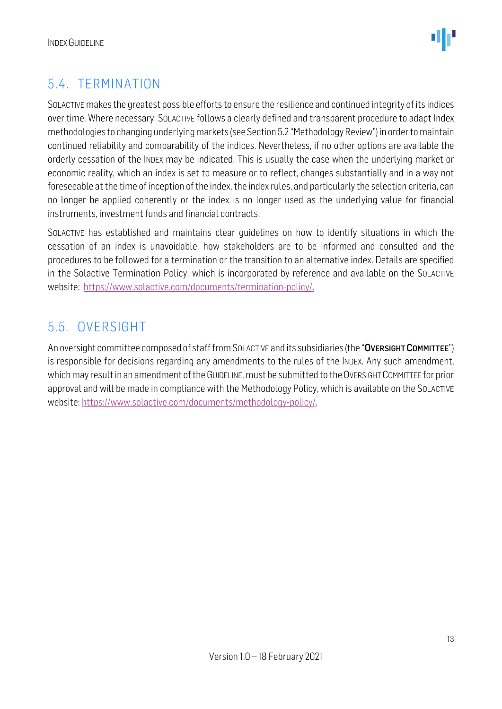

### <span id="page-12-0"></span>5.4. TERMINATION

SOLACTIVE makes the greatest possible efforts to ensure the resilience and continued integrity of its indices over time. Where necessary, SOLACTIVE follows a clearly defined and transparent procedure to adapt Index methodologies to changing underlying markets (see Section 5.2 "Methodology Review") in order to maintain continued reliability and comparability of the indices. Nevertheless, if no other options are available the orderly cessation of the INDEX may be indicated. This is usually the case when the underlying market or economic reality, which an index is set to measure or to reflect, changes substantially and in a way not foreseeable at the time of inception of the index, the index rules, and particularly the selection criteria, can no longer be applied coherently or the index is no longer used as the underlying value for financial instruments, investment funds and financial contracts.

SOLACTIVE has established and maintains clear guidelines on how to identify situations in which the cessation of an index is unavoidable, how stakeholders are to be informed and consulted and the procedures to be followed for a termination or the transition to an alternative index. Details are specified in the Solactive Termination Policy, which is incorporated by reference and available on the SOLACTIVE website: [https://www.solactive.com/documents/termination-policy/.](https://www.solactive.com/documents/termination-policy/)

### <span id="page-12-1"></span>5.5. OVERSIGHT

An oversight committee composed of staff from SOLACTIVE and its subsidiaries (the "OVERSIGHT COMMITTEE") is responsible for decisions regarding any amendments to the rules of the INDEX. Any such amendment, which may result in an amendment of the GUIDELINE, must be submitted to the OVERSIGHT COMMITTEE for prior approval and will be made in compliance with the [Methodology](http://methodology/) Policy, which is available on the SOLACTIVE website: [https://www.solactive.com/documents/methodology-policy/.](https://www.solactive.com/documents/methodology-policy/)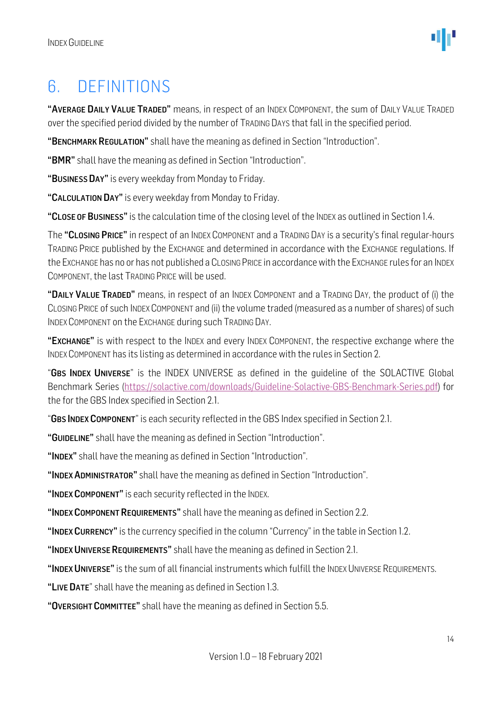### <span id="page-13-0"></span>6. DEFINITIONS

"AVERAGE DAILY VALUE TRADED" means, in respect of an INDEX COMPONENT, the sum of DAILY VALUE TRADED over the specified period divided by the number of TRADING DAYS that fall in the specified period.

"BENCHMARK REGULATION" shall have the meaning as defined in Section "Introduction".

"BMR" shall have the meaning as defined in Section "Introduction".

"BUSINESS DAY" is every weekday from Monday to Friday.

"CALCULATION DAY" is every weekday from Monday to Friday.

"CLOSE OF BUSINESS" is the calculation time of the closing level of the INDEX as outlined in Section 1.4.

The "CLOSING PRICE" in respect of an INDEX COMPONENT and a TRADING DAY is a security's final regular-hours TRADING PRICE published by the EXCHANGE and determined in accordance with the EXCHANGE regulations. If the EXCHANGE has no or has not published a CLOSING PRICE in accordance with the EXCHANGE rules for an INDEX COMPONENT, the last TRADING PRICE will be used.

"DAILY VALUE TRADED" means, in respect of an INDEX COMPONENT and a TRADING DAY, the product of (i) the CLOSING PRICE of such INDEX COMPONENT and (ii) the volume traded (measured as a number of shares) of such INDEX COMPONENT on the EXCHANGE during such TRADING DAY.

"EXCHANGE" is with respect to the INDEX and every INDEX COMPONENT, the respective exchange where the INDEX COMPONENT has its listing as determined in accordance with the rules in Section 2.

"GBS INDEX UNIVERSE" is the INDEX UNIVERSE as defined in the quideline of the SOLACTIVE Global Benchmark Series [\(https://solactive.com/downloads/Guideline-Solactive-GBS-Benchmark-Series.pdf\)](https://solactive.com/downloads/Guideline-Solactive-GBS-Benchmark-Series.pdf) for the for the GBS Index specified in Section 2.1.

"GBS INDEX COMPONENT" is each security reflected in the GBS Index specified in Section 2.1.

"GUIDELINE" shall have the meaning as defined in Section "Introduction".

"INDEX" shall have the meaning as defined in Section "Introduction".

"INDEX ADMINISTRATOR" shall have the meaning as defined in Section "Introduction".

"INDEX COMPONENT" is each security reflected in the INDEX.

"INDEX COMPONENT REQUIREMENTS" shall have the meaning as defined in Section 2.2.

"INDEX CURRENCY" is the currency specified in the column "Currency" in the table in Section 1.2.

"INDEX UNIVERSE REQUIREMENTS" shall have the meaning as defined in Section 2.1.

"INDEX UNIVERSE" is the sum of all financial instruments which fulfill the INDEX UNIVERSE REQUIREMENTS.

"LIVE DATE" shall have the meaning as defined in Section 1.3.

"OVERSIGHT COMMITTEE" shall have the meaning as defined in Section 5.5.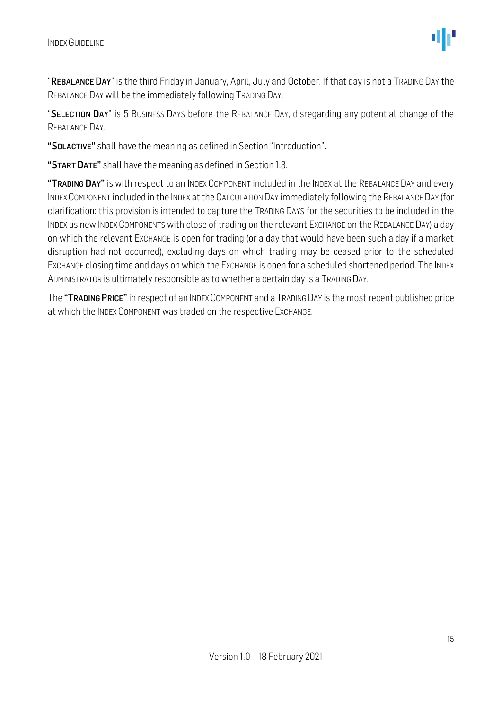"REBALANCE DAY" is the third Friday in January, April, July and October. If that day is not a TRADING DAY the REBALANCE DAY will be the immediately following TRADING DAY.

"SELECTION DAY" is 5 BUSINESS DAYS before the REBALANCE DAY, disregarding any potential change of the REBALANCE DAY.

"SOLACTIVE" shall have the meaning as defined in Section "Introduction".

"START DATE" shall have the meaning as defined in Section 1.3.

"TRADING DAY" is with respect to an INDEX COMPONENT included in the INDEX at the REBALANCE DAY and every INDEXCOMPONENT included in the INDEX at the CALCULATION DAY immediately following the REBALANCE DAY (for clarification: this provision is intended to capture the TRADING DAYS for the securities to be included in the INDEX as new INDEX COMPONENTS with close of trading on the relevant EXCHANGE on the REBALANCE DAY) a day on which the relevant EXCHANGE is open for trading (or a day that would have been such a day if a market disruption had not occurred), excluding days on which trading may be ceased prior to the scheduled EXCHANGE closing time and days on which the EXCHANGE is open for a scheduled shortened period. The INDEX ADMINISTRATOR is ultimately responsible as to whether a certain day is a TRADING DAY.

The "TRADING PRICE" in respect of an INDEX COMPONENT and a TRADING DAY is the most recent published price at which the INDEX COMPONENT was traded on the respective EXCHANGE.